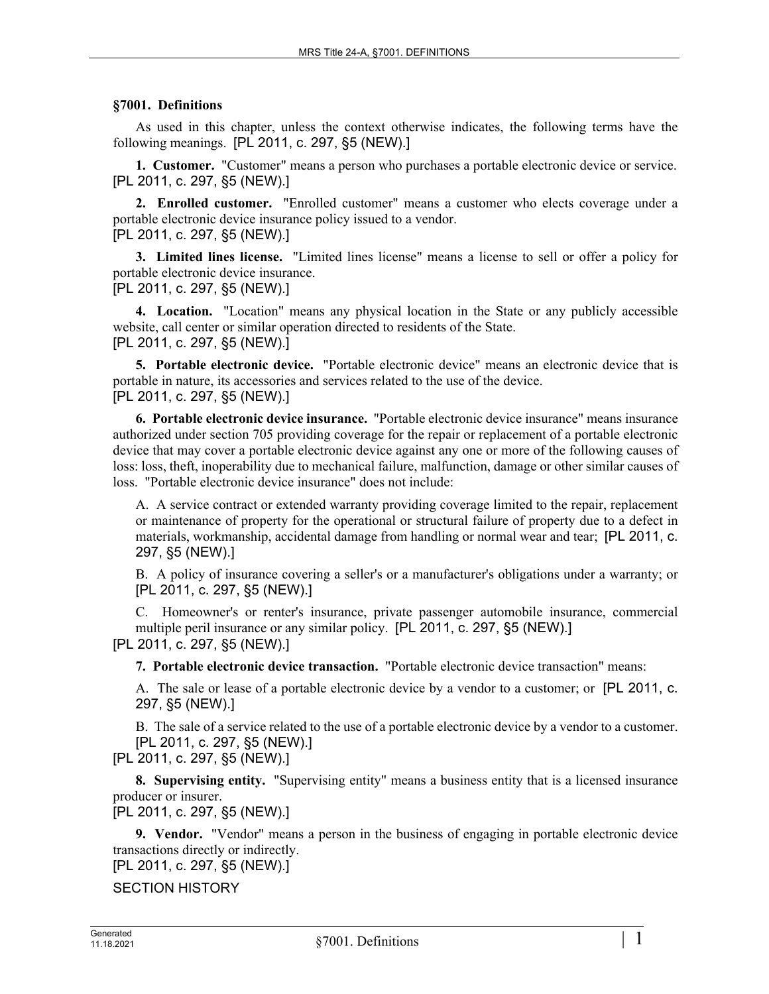## **§7001. Definitions**

As used in this chapter, unless the context otherwise indicates, the following terms have the following meanings. [PL 2011, c. 297, §5 (NEW).]

**1. Customer.** "Customer" means a person who purchases a portable electronic device or service. [PL 2011, c. 297, §5 (NEW).]

**2. Enrolled customer.** "Enrolled customer" means a customer who elects coverage under a portable electronic device insurance policy issued to a vendor. [PL 2011, c. 297, §5 (NEW).]

**3. Limited lines license.** "Limited lines license" means a license to sell or offer a policy for portable electronic device insurance.

[PL 2011, c. 297, §5 (NEW).]

**4. Location.** "Location" means any physical location in the State or any publicly accessible website, call center or similar operation directed to residents of the State. [PL 2011, c. 297, §5 (NEW).]

**5. Portable electronic device.** "Portable electronic device" means an electronic device that is portable in nature, its accessories and services related to the use of the device. [PL 2011, c. 297, §5 (NEW).]

**6. Portable electronic device insurance.** "Portable electronic device insurance" means insurance authorized under section 705 providing coverage for the repair or replacement of a portable electronic device that may cover a portable electronic device against any one or more of the following causes of loss: loss, theft, inoperability due to mechanical failure, malfunction, damage or other similar causes of loss. "Portable electronic device insurance" does not include:

A. A service contract or extended warranty providing coverage limited to the repair, replacement or maintenance of property for the operational or structural failure of property due to a defect in materials, workmanship, accidental damage from handling or normal wear and tear; [PL 2011, c. 297, §5 (NEW).]

B. A policy of insurance covering a seller's or a manufacturer's obligations under a warranty; or [PL 2011, c. 297, §5 (NEW).]

C. Homeowner's or renter's insurance, private passenger automobile insurance, commercial multiple peril insurance or any similar policy. [PL 2011, c. 297, §5 (NEW).] [PL 2011, c. 297, §5 (NEW).]

**7. Portable electronic device transaction.** "Portable electronic device transaction" means:

A. The sale or lease of a portable electronic device by a vendor to a customer; or [PL 2011, c. 297, §5 (NEW).]

B. The sale of a service related to the use of a portable electronic device by a vendor to a customer. [PL 2011, c. 297, §5 (NEW).]

[PL 2011, c. 297, §5 (NEW).]

**8. Supervising entity.** "Supervising entity" means a business entity that is a licensed insurance producer or insurer.

[PL 2011, c. 297, §5 (NEW).]

**9. Vendor.** "Vendor" means a person in the business of engaging in portable electronic device transactions directly or indirectly.

[PL 2011, c. 297, §5 (NEW).]

SECTION HISTORY